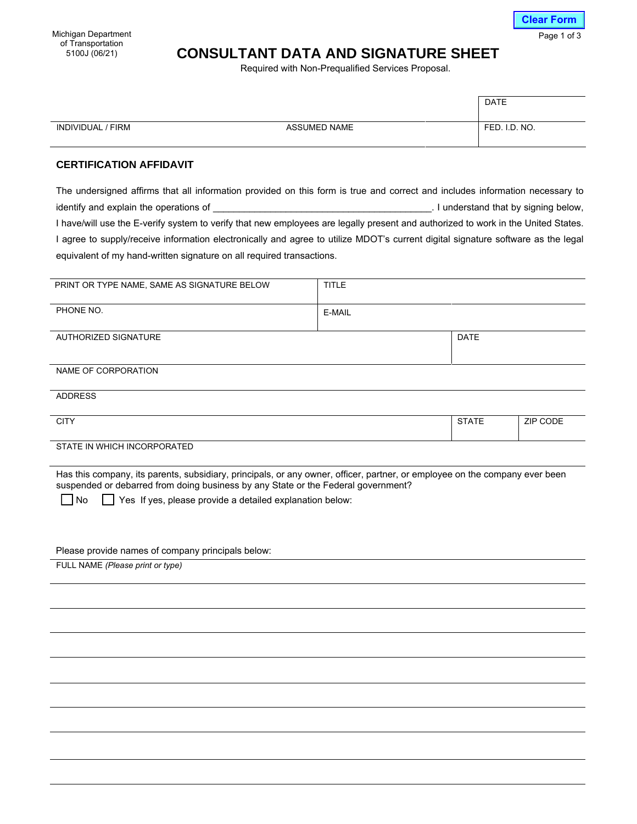Michigan Department of Transportation<br>5100J (06/21)

## **CONSULTANT DATA AND SIGNATURE SHEET**

Required with Non-Prequalified Services Proposal.

|                   |                     | <b>DATE</b>   |
|-------------------|---------------------|---------------|
| INDIVIDUAL / FIRM | <b>ASSUMED NAME</b> | FED. I.D. NO. |

## **CERTIFICATION AFFIDAVIT**

The undersigned affirms that all information provided on this form is true and correct and includes information necessary to identify and explain the operations of \_\_\_\_\_\_\_\_\_\_\_\_\_\_\_\_\_\_\_\_\_\_\_\_\_\_\_\_\_\_\_\_\_\_\_\_\_\_\_\_\_\_. I understand that by signing below, I have/will use the E-verify system to verify that new employees are legally present and authorized to work in the United States. I agree to supply/receive information electronically and agree to utilize MDOT's current digital signature software as the legal equivalent of my hand-written signature on all required transactions.

| PRINT OR TYPE NAME, SAME AS SIGNATURE BELOW                                                                                                                                                                                                                                               | <b>TITLE</b> |              |          |
|-------------------------------------------------------------------------------------------------------------------------------------------------------------------------------------------------------------------------------------------------------------------------------------------|--------------|--------------|----------|
| PHONE NO.                                                                                                                                                                                                                                                                                 | E-MAIL       |              |          |
| AUTHORIZED SIGNATURE                                                                                                                                                                                                                                                                      |              | <b>DATE</b>  |          |
| NAME OF CORPORATION                                                                                                                                                                                                                                                                       |              |              |          |
| <b>ADDRESS</b>                                                                                                                                                                                                                                                                            |              |              |          |
| <b>CITY</b>                                                                                                                                                                                                                                                                               |              | <b>STATE</b> | ZIP CODE |
| STATE IN WHICH INCORPORATED                                                                                                                                                                                                                                                               |              |              |          |
| Has this company, its parents, subsidiary, principals, or any owner, officer, partner, or employee on the company ever been<br>suspended or debarred from doing business by any State or the Federal government?<br>Yes If yes, please provide a detailed explanation below:<br><b>No</b> |              |              |          |
| Please provide names of company principals below:                                                                                                                                                                                                                                         |              |              |          |
| FULL NAME (Please print or type)                                                                                                                                                                                                                                                          |              |              |          |
|                                                                                                                                                                                                                                                                                           |              |              |          |
|                                                                                                                                                                                                                                                                                           |              |              |          |
|                                                                                                                                                                                                                                                                                           |              |              |          |
|                                                                                                                                                                                                                                                                                           |              |              |          |

**Clear Form**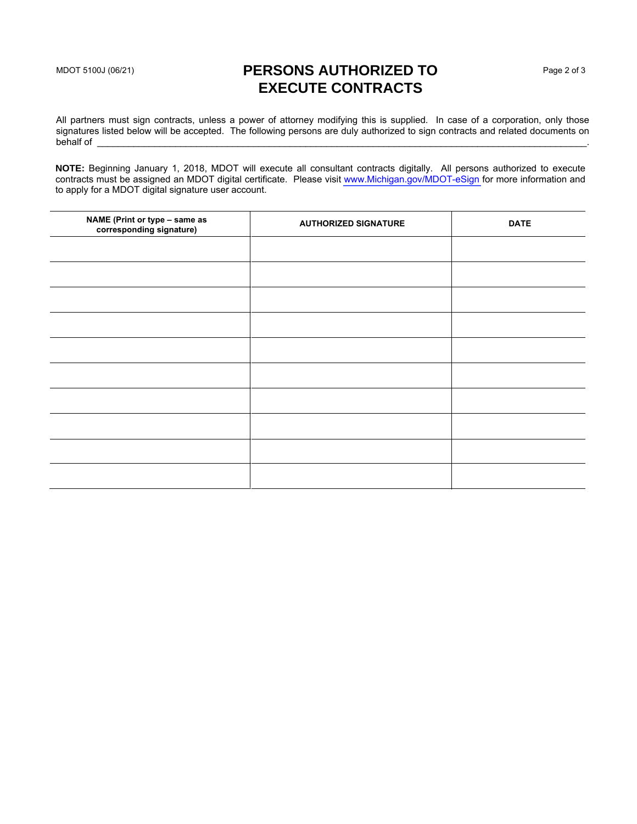## MDOT 5100J (06/21) **PERSONS AUTHORIZED TO EXECUTE CONTRACTS**

All partners must sign contracts, unless a power of attorney modifying this is supplied. In case of a corporation, only those signatures listed below will be accepted. The following persons are duly authorized to sign contracts and related documents on behalf of behalf of \_\_\_\_\_\_\_\_\_\_\_\_\_\_\_\_\_\_\_\_\_\_\_\_\_\_\_\_\_\_\_\_\_\_\_\_\_\_\_\_\_\_\_\_\_\_\_\_\_\_\_\_\_\_\_\_\_\_\_\_\_\_\_\_\_\_\_\_\_\_\_\_\_\_\_\_\_\_\_\_\_\_\_\_\_\_\_\_\_\_\_\_\_\_.

**NOTE:** Beginning January 1, 2018, MDOT will execute all consultant contracts digitally. All persons authorized to execute contracts must be assigned an MDOT digital certificate. Please visit<www.Michigan.gov/MDOT-eSign>for more information and to apply for a MDOT digital signature user account.

| NAME (Print or type - same as<br>corresponding signature) | <b>AUTHORIZED SIGNATURE</b> | <b>DATE</b> |
|-----------------------------------------------------------|-----------------------------|-------------|
|                                                           |                             |             |
|                                                           |                             |             |
|                                                           |                             |             |
|                                                           |                             |             |
|                                                           |                             |             |
|                                                           |                             |             |
|                                                           |                             |             |
|                                                           |                             |             |
|                                                           |                             |             |
|                                                           |                             |             |